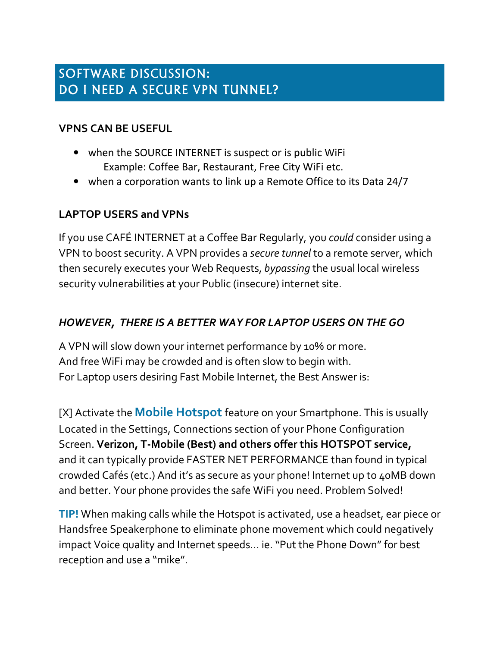# SOFTWARE DISCUSSION: DO I NEED A SECURE VPN TUNNEL?

#### **VPNS CAN BE USEFUL**

- when the SOURCE INTERNET is suspect or is public WiFi Example: Coffee Bar, Restaurant, Free City WiFi etc.
- when a corporation wants to link up a Remote Office to its Data 24/7

## **LAPTOP USERS and VPNs**

If you use CAFÉ INTERNET at a Coffee Bar Regularly, you *could* consider using a VPN to boost security. A VPN provides a *secure tunnel* to a remote server, which then securely executes your Web Requests, *bypassing* the usual local wireless security vulnerabilities at your Public (insecure) internet site.

### *HOWEVER, THERE IS A BETTER WAY FOR LAPTOP USERS ON THE GO*

A VPN will slow down your internet performance by 10% or more. And free WiFi may be crowded and is often slow to begin with. For Laptop users desiring Fast Mobile Internet, the Best Answer is:

[X] Activate the **Mobile Hotspot** feature on your Smartphone. This is usually Located in the Settings, Connections section of your Phone Configuration Screen. **Verizon, T-Mobile (Best) and others offer this HOTSPOT service,** and it can typically provide FASTER NET PERFORMANCE than found in typical crowded Cafés (etc.) And it's as secure as your phone! Internet up to 40MB down and better. Your phone provides the safe WiFi you need. Problem Solved!

**TIP!** When making calls while the Hotspot is activated, use a headset, ear piece or Handsfree Speakerphone to eliminate phone movement which could negatively impact Voice quality and Internet speeds… ie. "Put the Phone Down" for best reception and use a "mike".